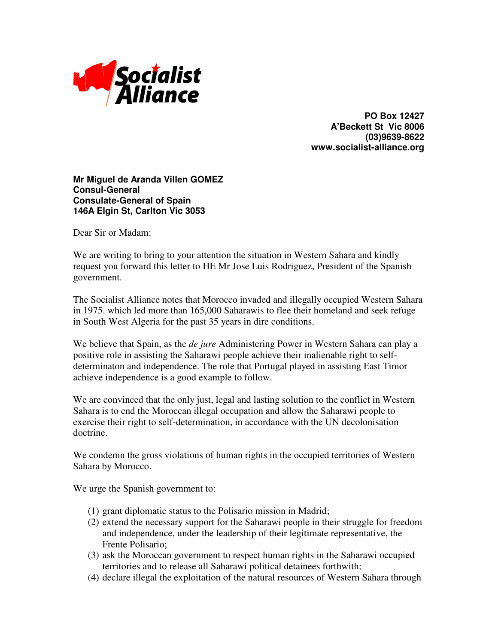

**PO Box 12427 A'Beckett St Vic 8006 (03)9639-8622 www.socialist-alliance.org**

## **Mr Miguel de Aranda Villen GOMEZ Consul-General Consulate-General of Spain 146A Elgin St, Carlton Vic 3053**

Dear Sir or Madam:

We are writing to bring to your attention the situation in Western Sahara and kindly request you forward this letter to HE Mr Jose Luis Rodriguez, President of the Spanish government.

The Socialist Alliance notes that Morocco invaded and illegally occupied Western Sahara in 1975. which led more than 165,000 Saharawis to flee their homeland and seek refuge in South West Algeria for the past 35 years in dire conditions.

We believe that Spain, as the *de jure* Administering Power in Western Sahara can play a positive role in assisting the Saharawi people achieve their inalienable right to selfdeterminaton and independence. The role that Portugal played in assisting East Timor achieve independence is a good example to follow.

We are convinced that the only just, legal and lasting solution to the conflict in Western Sahara is to end the Moroccan illegal occupation and allow the Saharawi people to exercise their right to self-determination, in accordance with the UN decolonisation doctrine.

We condemn the gross violations of human rights in the occupied territories of Western Sahara by Morocco.

We urge the Spanish government to:

- (1) grant diplomatic status to the Polisario mission in Madrid;
- (2) extend the necessary support for the Saharawi people in their struggle for freedom and independence, under the leadership of their legitimate representative, the Frente Polisario;
- (3) ask the Moroccan government to respect human rights in the Saharawi occupied territories and to release all Saharawi political detainees forthwith;
- (4) declare illegal the exploitation of the natural resources of Western Sahara through